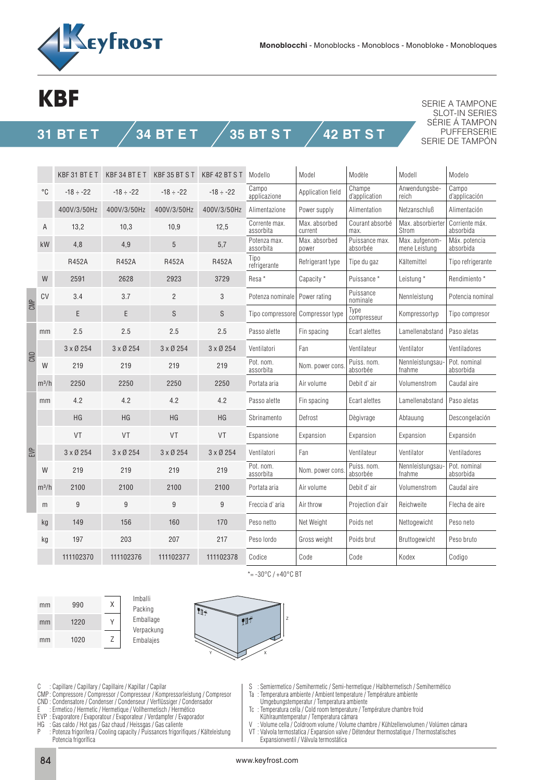

## **KBF**

**31 BT E T**

SERIE A TAMPONE SLOT-IN SERIES SÉRIE Á TAMPON PUFFERSERIE SERIE DE TAMPÓN

|     |           | KBF 31 BT E T   | KBF 34 BT E T   | KBF 35 BT ST    | KBF42 BTST      | Modello                    | Model                    | Modèle                     | Modell                          | Modelo                      |
|-----|-----------|-----------------|-----------------|-----------------|-----------------|----------------------------|--------------------------|----------------------------|---------------------------------|-----------------------------|
|     | °C        | $-18 \div -22$  | $-18 \div -22$  | $-18 \div -22$  | $-18 \div -22$  | Campo<br>applicazione      | Application field        | Champe<br>d'application    | Anwendungsbe-<br>reich          | Campo<br>d'applicación      |
|     |           | 400V/3/50Hz     | 400V/3/50Hz     | 400V/3/50Hz     | 400V/3/50Hz     | Alimentazione              | Power supply             | Alimentation               | Netzanschluß                    | Alimentación                |
| CMP | Α         | 13,2            | 10,3            | 10,9            | 12,5            | Corrente max.<br>assorbita | Max. absorbed<br>current | Courant absorbé<br>max.    | Max. absorbierter<br>Strom      | Corriente máx.<br>absorbida |
|     | <b>kW</b> | 4,8             | 4,9             | 5               | 5,7             | Potenza max.<br>assorbita  | Max. absorbed<br>power   | Puissance max.<br>absorbée | Max. aufgenom-<br>mene Leistung | Máx. potencia<br>absorbida  |
|     |           | R452A           | R452A           | <b>R452A</b>    | <b>R452A</b>    | Tipo<br>refrigerante       | Refrigerant type         | Tipe du gaz                | Kältemittel                     | Tipo refrigerante           |
|     | W         | 2591            | 2628            | 2923            | 3729            | Resa <sup>*</sup>          | Capacity *               | Puissance*                 | Leistung *                      | Rendimiento*                |
|     | CV        | 3.4             | 3.7             | $\overline{2}$  | 3               | Potenza nominale           | Power rating             | Puissance<br>nominale      | Nennleistung                    | Potencia nominal            |
|     |           | E               | E               | S               | S               | Tipo compressore           | Compressor type          | Type<br>compresseur        | Kompressortyp                   | Tipo compresor              |
| CND | mm        | 2.5             | 2.5             | 2.5             | 2.5             | Passo alette               | Fin spacing              | Ecart alettes              | Lamellenabstand                 | Paso aletas                 |
|     |           | $3 \times 0254$ | $3 \times 0254$ | $3 \times 0254$ | $3 \times 0254$ | Ventilatori                | Fan                      | Ventilateur                | Ventilator                      | Ventiladores                |
|     | W         | 219             | 219             | 219             | 219             | Pot. nom.<br>assorbita     | Nom. power cons          | Puiss. nom.<br>absorbée    | Nennleistungsau<br>fnahme       | Pot. nominal<br>absorbida   |
|     | $m^3/h$   | 2250            | 2250            | 2250            | 2250            | Portata aria               | Air volume               | Debit d'air                | Volumenstrom                    | Caudal aire                 |
| EVP | mm        | 4.2             | 4.2             | 4.2             | 4.2             | Passo alette               | Fin spacing              | Ecart alettes              | Lamellenabstand                 | Paso aletas                 |
|     |           | <b>HG</b>       | <b>HG</b>       | HG              | <b>HG</b>       | Sbrinamento                | Defrost                  | Dègivrage                  | Abtauung                        | Descongelación              |
|     |           | <b>VT</b>       | VT              | <b>VT</b>       | VT              | Espansione                 | Expansion                | Expansion                  | Expansion                       | Expansión                   |
|     |           | $3 \times 0254$ | $3 \times 0254$ | $3 \times 0254$ | 3 x Ø 254       | Ventilatori                | Fan                      | Ventilateur                | Ventilator                      | Ventiladores                |
|     | W         | 219             | 219             | 219             | 219             | Pot. nom.<br>assorbita     | Nom. power cons          | Puiss, nom.<br>absorbée    | Nennleistungsau<br>fnahme       | Pot. nominal<br>absorbida   |
|     | $m^3/h$   | 2100            | 2100            | 2100            | 2100            | Portata aria               | Air volume               | Debit d'air                | Volumenstrom                    | Caudal aire                 |
|     | m         | 9               | 9               | 9               | 9               | Freccia d'aria             | Air throw                | Projection d'air           | Reichweite                      | Flecha de aire              |
|     | kg        | 149             | 156             | 160             | 170             | Peso netto                 | Net Weight               | Poids net                  | Nettogewicht                    | Peso neto                   |
|     | kg        | 197             | 203             | 207             | 217             | Peso lordo                 | Gross weight             | Poids brut                 | Bruttogewicht                   | Peso bruto                  |
|     |           | 111102370       | 111102376       | 111102377       | 111102378       | Codice                     | Code                     | Code                       | Kodex                           | Codigo                      |
|     |           |                 |                 |                 |                 |                            |                          |                            |                                 |                             |

**34 BT E T 35 BT S T 42 BT S T**







 $* = -30^{\circ}C / +40^{\circ}C$  BT

C : Capillare / Capillary / Capillaire / Kapillar / Capilar

- CMP : Compressore / Compressor / Compresseur / Kompressorleistung / Compresor
- CND : Condensatore / Condenser / Condenseur / Verflüssiger / Condensador
- E : Ermetico / Hermetic / Hermetique / Vollhermetisch / Hermético
- EVP : Evaporatore / Evaporatour / Evaporateur / Verdampfer / Evaporador
- HG : Gas caldo / Hot gas / Gaz chaud / Heissgas / Gas caliente
- : Potenza frigorifera / Cooling capacity / Puissances frigorifiques / Kälteleistung Potencia frigorífica
- S : Semiermetico / Semihermetic / Semi-hermetique / Halbhermetisch / Semihermético
- Ta : Temperatura ambiente / Ambient temperature / Température ambiente
- Umgebungstemperatur / Temperatura ambiente
- Tc : Temperatura cella / Cold room temperature / Température chambre froid Kühlraumtemperatur / Temperatura cámara<br>V · Volume cella / Coldroom volume / Volume (
- Volume cella / Coldroom volume / Volume chambre / Kühlzellenvolumen / Volúmen cámara VT : Valvola termostatica / Expansion valve / Détendeur thermostatique / Thermostatisches
- Expansionventil / Válvula termostática